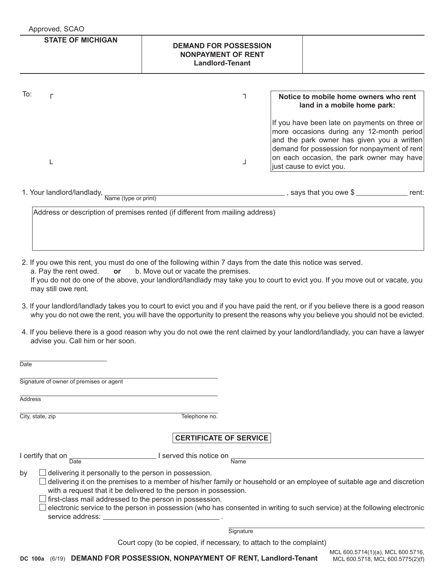| Approved, SCAO                                  |                                                                                     |                                                                                                                                                                                                                                                                   |
|-------------------------------------------------|-------------------------------------------------------------------------------------|-------------------------------------------------------------------------------------------------------------------------------------------------------------------------------------------------------------------------------------------------------------------|
| <b>STATE OF MICHIGAN</b>                        | <b>DEMAND FOR POSSESSION</b><br><b>NONPAYMENT OF RENT</b><br><b>Landlord-Tenant</b> |                                                                                                                                                                                                                                                                   |
| To:                                             |                                                                                     | Notice to mobile home owners who rent<br>land in a mobile home park:                                                                                                                                                                                              |
|                                                 |                                                                                     | If you have been late on payments on three or<br>more occasions during any 12-month period<br>and the park owner has given you a written<br>demand for possession for nonpayment of rent<br>on each occasion, the park owner may have<br>just cause to evict you. |
| 1. Your landlord/landlady, Name (type or print) |                                                                                     | $\_$ , says that you owe \$ $\_$ _____________<br>rent:                                                                                                                                                                                                           |

2. If you owe this rent, you must do one of the following within 7 days from the date this notice was served.<br>a. Pay the rent owed. or b. Move out or vacate the premises. or b. Move out or vacate the premises. If you do not do one of the above, your landlord/landlady may take you to court to evict you. If you move out or vacate, you may still owe rent.

- 3. If your landlord/landlady takes you to court to evict you and if you have paid the rent, or if you believe there is a good reason why you do not owe the rent, you will have the opportunity to present the reasons why you believe you should not be evicted.
- 4. If you believe there is a good reason why you do not owe the rent claimed by your landlord/landlady, you can have a lawyer advise you. Call him or her soon.

| Date                                    |                                                                                                                                                                                      |                                                                                                                                                                                                                                                     |
|-----------------------------------------|--------------------------------------------------------------------------------------------------------------------------------------------------------------------------------------|-----------------------------------------------------------------------------------------------------------------------------------------------------------------------------------------------------------------------------------------------------|
| Signature of owner of premises or agent |                                                                                                                                                                                      |                                                                                                                                                                                                                                                     |
| Address                                 |                                                                                                                                                                                      |                                                                                                                                                                                                                                                     |
| City, state, zip                        | Telephone no.                                                                                                                                                                        |                                                                                                                                                                                                                                                     |
|                                         |                                                                                                                                                                                      | <b>CERTIFICATE OF SERVICE</b>                                                                                                                                                                                                                       |
| I certify that on<br>Date               | l served this notice on _                                                                                                                                                            | <b>Name</b>                                                                                                                                                                                                                                         |
| by<br>service address: _                | delivering it personally to the person in possession.<br>with a request that it be delivered to the person in possession.<br>first-class mail addressed to the person in possession. | delivering it on the premises to a member of his/her family or household or an employee of suitable age and discretion<br>electronic service to the person in possession (who has consented in writing to such service) at the following electronic |
|                                         |                                                                                                                                                                                      | Signature                                                                                                                                                                                                                                           |
|                                         |                                                                                                                                                                                      | Court copy (to be copied, if necessary, to attach to the complaint)                                                                                                                                                                                 |
|                                         |                                                                                                                                                                                      | MCL 600.5714(1)(a), MCL 600.5716,                                                                                                                                                                                                                   |

MCL 600.5718, MCL 600.5775(2)(f)

**DC 100a** (6/19) **DEMAND FOR POSSESSION, NONPAYMENT OF RENT, Landlord-Tenant**